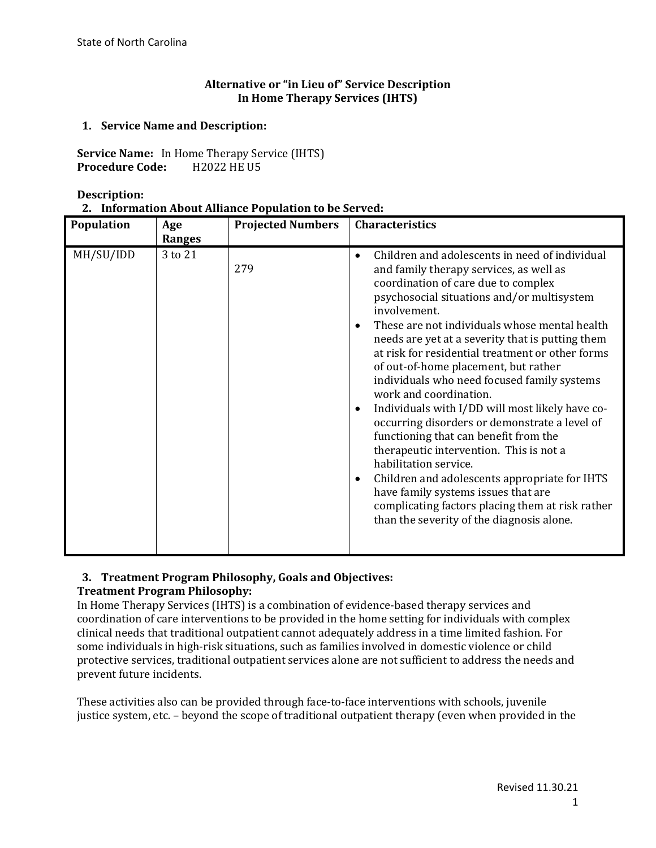## **Alternative or "in Lieu of" Service Description In Home Therapy Services (IHTS)**

## **1. Service Name and Description:**

**Service Name:** In Home Therapy Service (IHTS)<br>**Procedure Code:** H2022 HE U5 **Procedure Code:** 

**Description:**

|  | 2. Information About Alliance Population to be Served: |  |
|--|--------------------------------------------------------|--|
|--|--------------------------------------------------------|--|

| Population | Age<br><b>Ranges</b> | <b>Projected Numbers</b> | <b>Characteristics</b>                                                                                                                                                                                                                                                                                                                                                                                                                                                                                                                                                                                                                                                                                                                                                                                                                                                                                    |  |  |
|------------|----------------------|--------------------------|-----------------------------------------------------------------------------------------------------------------------------------------------------------------------------------------------------------------------------------------------------------------------------------------------------------------------------------------------------------------------------------------------------------------------------------------------------------------------------------------------------------------------------------------------------------------------------------------------------------------------------------------------------------------------------------------------------------------------------------------------------------------------------------------------------------------------------------------------------------------------------------------------------------|--|--|
| MH/SU/IDD  | 3 to 21              | 279                      | Children and adolescents in need of individual<br>$\bullet$<br>and family therapy services, as well as<br>coordination of care due to complex<br>psychosocial situations and/or multisystem<br>involvement.<br>These are not individuals whose mental health<br>needs are yet at a severity that is putting them<br>at risk for residential treatment or other forms<br>of out-of-home placement, but rather<br>individuals who need focused family systems<br>work and coordination.<br>Individuals with I/DD will most likely have co-<br>٠<br>occurring disorders or demonstrate a level of<br>functioning that can benefit from the<br>therapeutic intervention. This is not a<br>habilitation service.<br>Children and adolescents appropriate for IHTS<br>٠<br>have family systems issues that are<br>complicating factors placing them at risk rather<br>than the severity of the diagnosis alone. |  |  |

#### **3. Treatment Program Philosophy, Goals and Objectives: Treatment Program Philosophy:**

In Home Therapy Services (IHTS) is a combination of evidence-based therapy services and coordination of care interventions to be provided in the home setting for individuals with complex clinical needs that traditional outpatient cannot adequately address in a time limited fashion. For some individuals in high-risk situations, such as families involved in domestic violence or child protective services, traditional outpatient services alone are not sufficient to address the needs and prevent future incidents.

These activities also can be provided through face-to-face interventions with schools, juvenile justice system, etc. – beyond the scope of traditional outpatient therapy (even when provided in the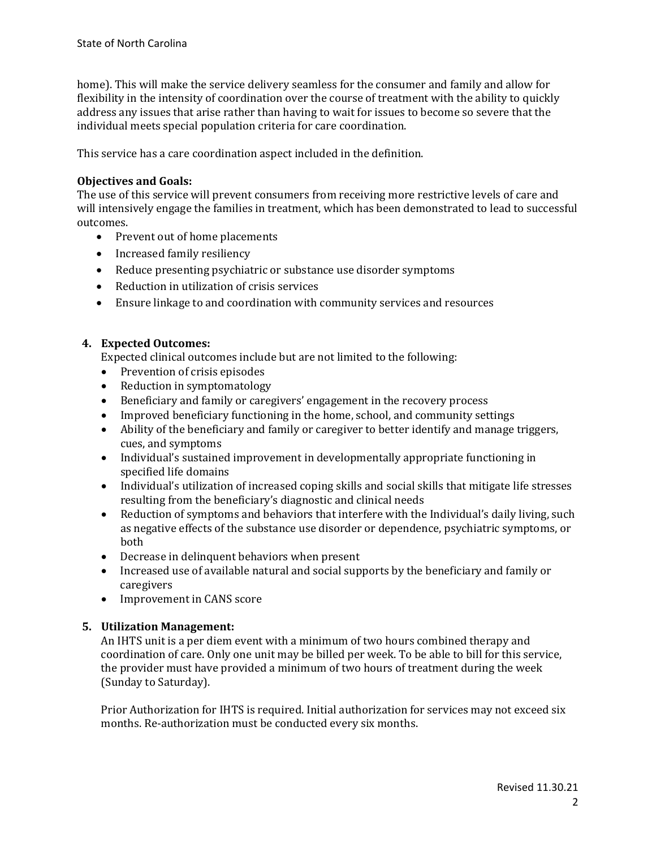home). This will make the service delivery seamless for the consumer and family and allow for flexibility in the intensity of coordination over the course of treatment with the ability to quickly address any issues that arise rather than having to wait for issues to become so severe that the individual meets special population criteria for care coordination.

This service has a care coordination aspect included in the definition.

## **Objectives and Goals:**

The use of this service will prevent consumers from receiving more restrictive levels of care and will intensively engage the families in treatment, which has been demonstrated to lead to successful outcomes.

- Prevent out of home placements
- Increased family resiliency
- Reduce presenting psychiatric or substance use disorder symptoms
- Reduction in utilization of crisis services
- Ensure linkage to and coordination with community services and resources

# **4. Expected Outcomes:**

Expected clinical outcomes include but are not limited to the following:

- Prevention of crisis episodes
- Reduction in symptomatology<br>• Beneficiary and family or cares
- Beneficiary and family or caregivers' engagement in the recovery process
- Improved beneficiary functioning in the home, school, and community settings<br>• Ability of the beneficiary and family or caregiver to better identify and manage
- Ability of the beneficiary and family or caregiver to better identify and manage triggers, cues, and symptoms
- Individual's sustained improvement in developmentally appropriate functioning in specified life domains
- Individual's utilization of increased coping skills and social skills that mitigate life stresses resulting from the beneficiary's diagnostic and clinical needs
- Reduction of symptoms and behaviors that interfere with the Individual's daily living, such as negative effects of the substance use disorder or dependence, psychiatric symptoms, or both
- Decrease in delinquent behaviors when present<br>• Increased use of available natural and social sup
- Increased use of available natural and social supports by the beneficiary and family or caregivers
- Improvement in CANS score

# **5. Utilization Management:**

An IHTS unit is a per diem event with a minimum of two hours combined therapy and coordination of care. Only one unit may be billed per week. To be able to bill for this service, the provider must have provided a minimum of two hours of treatment during the week (Sunday to Saturday).

Prior Authorization for IHTS is required. Initial authorization for services may not exceed six months. Re-authorization must be conducted every six months.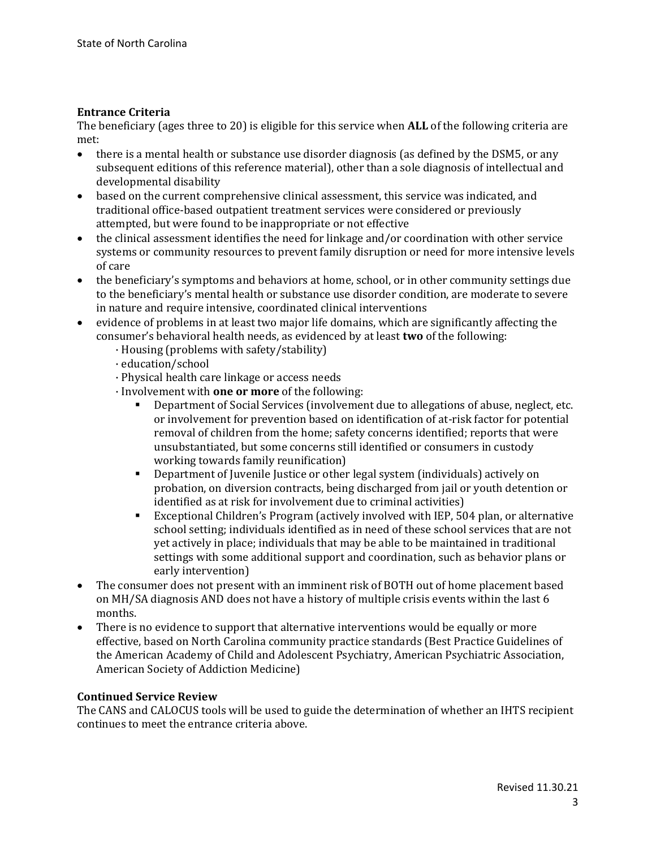## **Entrance Criteria**

The beneficiary (ages three to 20) is eligible for this service when **ALL** of the following criteria are met:<br>• tl

- there is a mental health or substance use disorder diagnosis (as defined by the DSM5, or any subsequent editions of this reference material), other than a sole diagnosis of intellectual and developmental disability
- based on the current comprehensive clinical assessment, this service was indicated, and traditional office-based outpatient treatment services were considered or previously attempted, but were found to be inappropriate or not effective
- the clinical assessment identifies the need for linkage and/or coordination with other service systems or community resources to prevent family disruption or need for more intensive levels of care
- the beneficiary's symptoms and behaviors at home, school, or in other community settings due to the beneficiary's mental health or substance use disorder condition, are moderate to severe in nature and require intensive, coordinated clinical interventions
- evidence of problems in at least two major life domains, which are significantly affecting the consumer's behavioral health needs, as evidenced by at least **two** of the following:
	- · Housing (problems with safety/stability)
	- · education/school
	- · Physical health care linkage or access needs
	- · Involvement with **one or more** of the following:
		- Department of Social Services (involvement due to allegations of abuse, neglect, etc. or involvement for prevention based on identification of at-risk factor for potential removal of children from the home; safety concerns identified; reports that were unsubstantiated, but some concerns still identified or consumers in custody working towards family reunification)
		- Department of Juvenile Justice or other legal system (individuals) actively on probation, on diversion contracts, being discharged from jail or youth detention or identified as at risk for involvement due to criminal activities)
		- Exceptional Children's Program (actively involved with IEP, 504 plan, or alternative school setting; individuals identified as in need of these school services that are not yet actively in place; individuals that may be able to be maintained in traditional settings with some additional support and coordination, such as behavior plans or early intervention)
- The consumer does not present with an imminent risk of BOTH out of home placement based on MH/SA diagnosis AND does not have a history of multiple crisis events within the last 6 months.
- There is no evidence to support that alternative interventions would be equally or more effective, based on North Carolina community practice standards (Best Practice Guidelines of the American Academy of Child and Adolescent Psychiatry, American Psychiatric Association, American Society of Addiction Medicine)

### **Continued Service Review**

The CANS and CALOCUS tools will be used to guide the determination of whether an IHTS recipient continues to meet the entrance criteria above.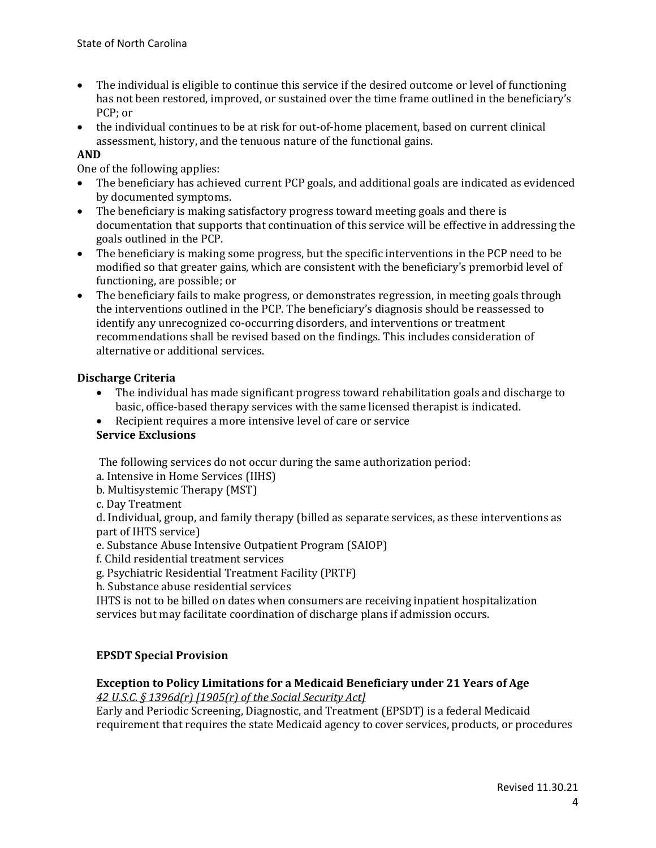- The individual is eligible to continue this service if the desired outcome or level of functioning has not been restored, improved, or sustained over the time frame outlined in the beneficiary's PCP; or
- the individual continues to be at risk for out-of-home placement, based on current clinical assessment, history, and the tenuous nature of the functional gains.

## **AND**

One of the following applies:

- The beneficiary has achieved current PCP goals, and additional goals are indicated as evidenced by documented symptoms.
- The beneficiary is making satisfactory progress toward meeting goals and there is documentation that supports that continuation of this service will be effective in addressing the goals outlined in the PCP.
- The beneficiary is making some progress, but the specific interventions in the PCP need to be modified so that greater gains, which are consistent with the beneficiary's premorbid level of functioning, are possible; or
- The beneficiary fails to make progress, or demonstrates regression, in meeting goals through the interventions outlined in the PCP. The beneficiary's diagnosis should be reassessed to identify any unrecognized co-occurring disorders, and interventions or treatment recommendations shall be revised based on the findings. This includes consideration of alternative or additional services.

### **Discharge Criteria**

- The individual has made significant progress toward rehabilitation goals and discharge to basic, office-based therapy services with the same licensed therapist is indicated.
- Recipient requires a more intensive level of care or service

# **Service Exclusions**

The following services do not occur during the same authorization period:

- a. Intensive in Home Services (IIHS)
- b. Multisystemic Therapy (MST)
- c. Day Treatment

d. Individual, group, and family therapy (billed as separate services, as these interventions as part of IHTS service)

e. Substance Abuse Intensive Outpatient Program (SAIOP)

- f. Child residential treatment services
- g. Psychiatric Residential Treatment Facility (PRTF)
- h. Substance abuse residential services

IHTS is not to be billed on dates when consumers are receiving inpatient hospitalization services but may facilitate coordination of discharge plans if admission occurs.

# **EPSDT Special Provision**

### **Exception to Policy Limitations for a Medicaid Beneficiary under 21 Years of Age**

*42 U.S.C. § 1396d(r) [1905(r) of the Social Security Act]* 

Early and Periodic Screening, Diagnostic, and Treatment (EPSDT) is a federal Medicaid requirement that requires the state Medicaid agency to cover services, products, or procedures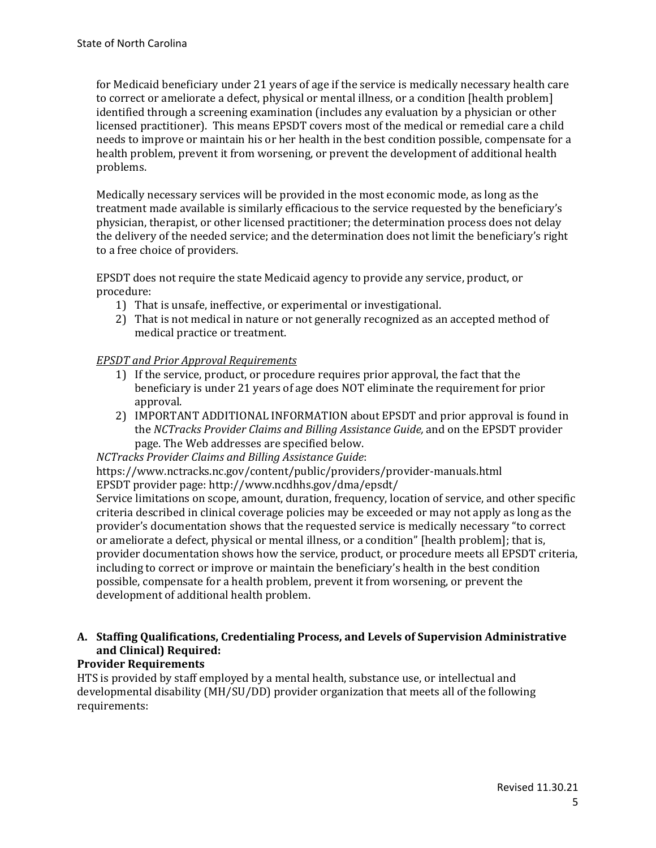for Medicaid beneficiary under 21 years of age if the service is medically necessary health care to correct or ameliorate a defect, physical or mental illness, or a condition [health problem] identified through a screening examination (includes any evaluation by a physician or other licensed practitioner). This means EPSDT covers most of the medical or remedial care a child needs to improve or maintain his or her health in the best condition possible, compensate for a health problem, prevent it from worsening, or prevent the development of additional health problems.

Medically necessary services will be provided in the most economic mode, as long as the treatment made available is similarly efficacious to the service requested by the beneficiary's physician, therapist, or other licensed practitioner; the determination process does not delay the delivery of the needed service; and the determination does not limit the beneficiary's right to a free choice of providers.

EPSDT does not require the state Medicaid agency to provide any service, product, or procedure:

- 1) That is unsafe, ineffective, or experimental or investigational.
- 2) That is not medical in nature or not generally recognized as an accepted method of medical practice or treatment.

## *EPSDT and Prior Approval Requirements*

- 1) If the service, product, or procedure requires prior approval, the fact that the beneficiary is under 21 years of age does NOT eliminate the requirement for prior approval.
- 2) IMPORTANT ADDITIONAL INFORMATION about EPSDT and prior approval is found in the *NCTracks Provider Claims and Billing Assistance Guide,* and on the EPSDT provider page. The Web addresses are specified below.

*NCTracks Provider Claims and Billing Assistance Guide*:

https://www.nctracks.nc.gov/content/public/providers/provider-manuals.html EPSDT provider page: http://www.ncdhhs.gov/dma/epsdt/

Service limitations on scope, amount, duration, frequency, location of service, and other specific criteria described in clinical coverage policies may be exceeded or may not apply as long as the provider's documentation shows that the requested service is medically necessary "to correct or ameliorate a defect, physical or mental illness, or a condition" [health problem]; that is, provider documentation shows how the service, product, or procedure meets all EPSDT criteria, including to correct or improve or maintain the beneficiary's health in the best condition possible, compensate for a health problem, prevent it from worsening, or prevent the development of additional health problem.

# **A. Staffing Qualifications, Credentialing Process, and Levels of Supervision Administrative and Clinical) Required:**

# **Provider Requirements**

HTS is provided by staff employed by a mental health, substance use, or intellectual and developmental disability (MH/SU/DD) provider organization that meets all of the following requirements: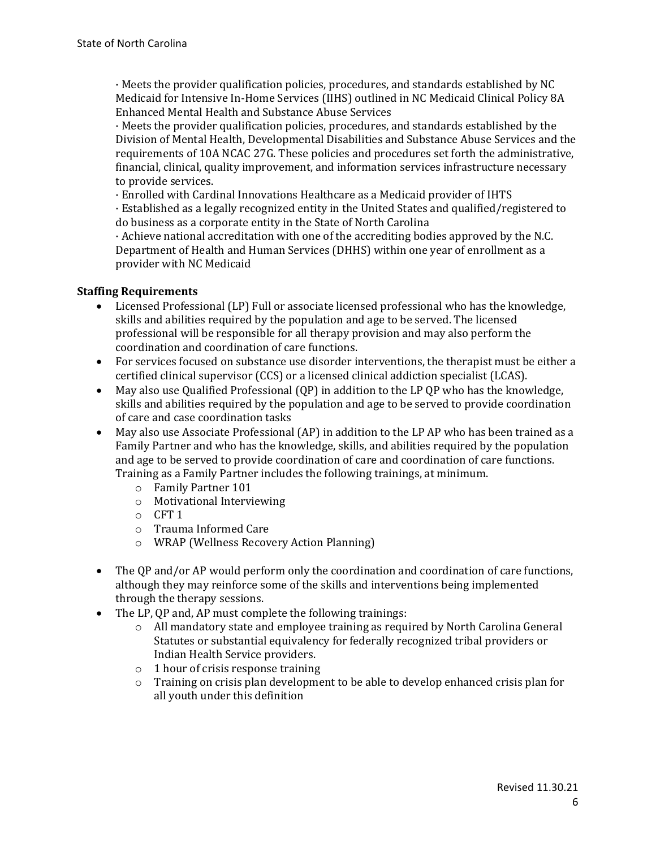· Meets the provider qualification policies, procedures, and standards established by NC Medicaid for Intensive In-Home Services (IIHS) outlined in NC Medicaid Clinical Policy 8A Enhanced Mental Health and Substance Abuse Services

· Meets the provider qualification policies, procedures, and standards established by the Division of Mental Health, Developmental Disabilities and Substance Abuse Services and the requirements of 10A NCAC 27G. These policies and procedures set forth the administrative, financial, clinical, quality improvement, and information services infrastructure necessary to provide services.

· Enrolled with Cardinal Innovations Healthcare as a Medicaid provider of IHTS

· Established as a legally recognized entity in the United States and qualified/registered to do business as a corporate entity in the State of North Carolina

· Achieve national accreditation with one of the accrediting bodies approved by the N.C. Department of Health and Human Services (DHHS) within one year of enrollment as a provider with NC Medicaid

### **Staffing Requirements**

- Licensed Professional (LP) Full or associate licensed professional who has the knowledge, skills and abilities required by the population and age to be served. The licensed professional will be responsible for all therapy provision and may also perform the coordination and coordination of care functions.
- For services focused on substance use disorder interventions, the therapist must be either a certified clinical supervisor (CCS) or a licensed clinical addiction specialist (LCAS).
- May also use Qualified Professional (QP) in addition to the LP QP who has the knowledge, skills and abilities required by the population and age to be served to provide coordination of care and case coordination tasks
- May also use Associate Professional (AP) in addition to the LP AP who has been trained as a Family Partner and who has the knowledge, skills, and abilities required by the population and age to be served to provide coordination of care and coordination of care functions. Training as a Family Partner includes the following trainings, at minimum.
	- o Family Partner 101
	- o Motivational Interviewing
	- o CFT 1
	- o Trauma Informed Care
	- o WRAP (Wellness Recovery Action Planning)
- The QP and/or AP would perform only the coordination and coordination of care functions, although they may reinforce some of the skills and interventions being implemented through the therapy sessions.
- The LP, OP and, AP must complete the following trainings:
	- o All mandatory state and employee training as required by North Carolina General Statutes or substantial equivalency for federally recognized tribal providers or Indian Health Service providers.
	- o 1 hour of crisis response training
	- $\circ$  Training on crisis plan development to be able to develop enhanced crisis plan for all youth under this definition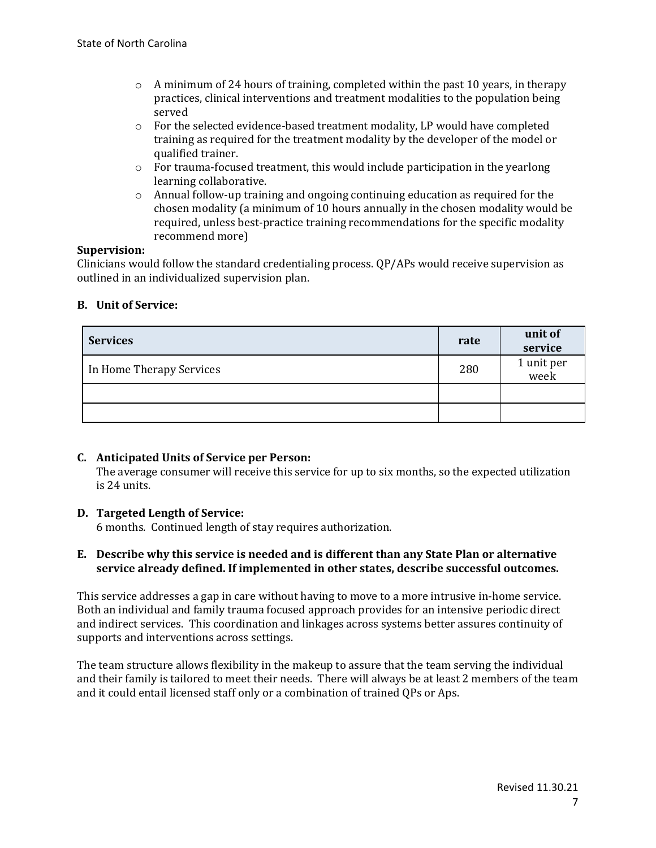- $\circ$  A minimum of 24 hours of training, completed within the past 10 years, in therapy practices, clinical interventions and treatment modalities to the population being served
- $\circ$  For the selected evidence-based treatment modality, LP would have completed training as required for the treatment modality by the developer of the model or qualified trainer.
- $\circ$  For trauma-focused treatment, this would include participation in the yearlong learning collaborative.
- o Annual follow-up training and ongoing continuing education as required for the chosen modality (a minimum of 10 hours annually in the chosen modality would be required, unless best-practice training recommendations for the specific modality recommend more)

#### **Supervision:**

Clinicians would follow the standard credentialing process. QP/APs would receive supervision as outlined in an individualized supervision plan.

#### **B. Unit of Service:**

| <b>Services</b>          | rate | unit of<br>service |
|--------------------------|------|--------------------|
| In Home Therapy Services | 280  | 1 unit per<br>week |
|                          |      |                    |
|                          |      |                    |

### **C. Anticipated Units of Service per Person:**

The average consumer will receive this service for up to six months, so the expected utilization is 24 units.

### **D. Targeted Length of Service:**

6 months. Continued length of stay requires authorization.

#### **E. Describe why this service is needed and is different than any State Plan or alternative service already defined. If implemented in other states, describe successful outcomes.**

This service addresses a gap in care without having to move to a more intrusive in-home service. Both an individual and family trauma focused approach provides for an intensive periodic direct and indirect services. This coordination and linkages across systems better assures continuity of supports and interventions across settings.

The team structure allows flexibility in the makeup to assure that the team serving the individual and their family is tailored to meet their needs. There will always be at least 2 members of the team and it could entail licensed staff only or a combination of trained QPs or Aps.